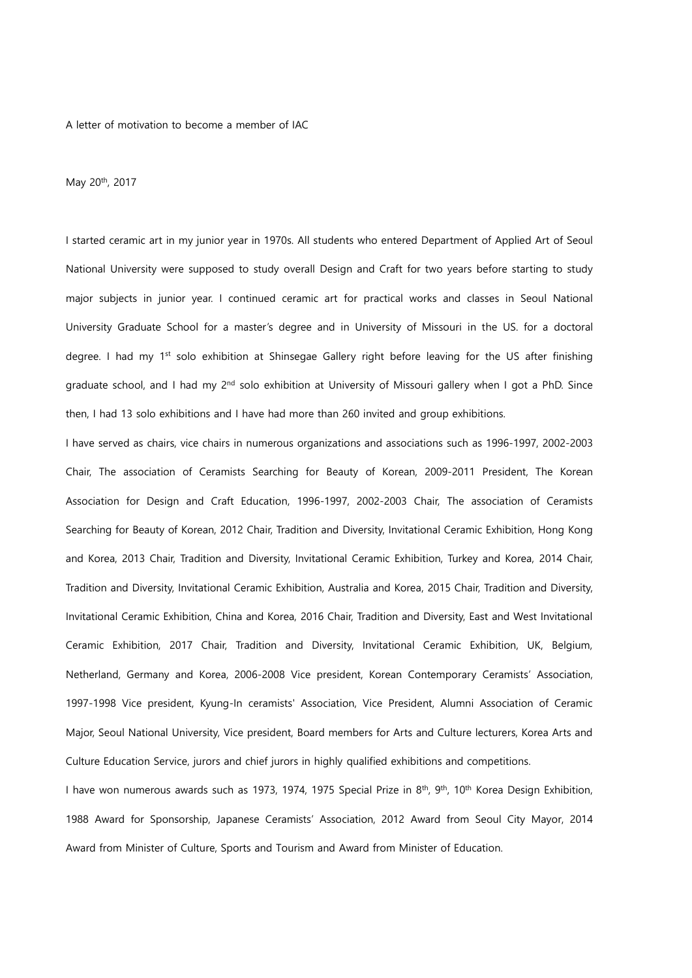A letter of motivation to become a member of IAC

May 20th, 2017

I started ceramic art in my junior year in 1970s. All students who entered Department of Applied Art of Seoul National University were supposed to study overall Design and Craft for two years before starting to study major subjects in junior year. I continued ceramic art for practical works and classes in Seoul National University Graduate School for a master"s degree and in University of Missouri in the US. for a doctoral degree. I had my 1<sup>st</sup> solo exhibition at Shinsegae Gallery right before leaving for the US after finishing graduate school, and I had my 2<sup>nd</sup> solo exhibition at University of Missouri gallery when I got a PhD. Since then, I had 13 solo exhibitions and I have had more than 260 invited and group exhibitions.

I have served as chairs, vice chairs in numerous organizations and associations such as 1996-1997, 2002-2003 Chair, The association of Ceramists Searching for Beauty of Korean, 2009-2011 President, The Korean Association for Design and Craft Education, 1996-1997, 2002-2003 Chair, The association of Ceramists Searching for Beauty of Korean, 2012 Chair, Tradition and Diversity, Invitational Ceramic Exhibition, Hong Kong and Korea, 2013 Chair, Tradition and Diversity, Invitational Ceramic Exhibition, Turkey and Korea, 2014 Chair, Tradition and Diversity, Invitational Ceramic Exhibition, Australia and Korea, 2015 Chair, Tradition and Diversity, Invitational Ceramic Exhibition, China and Korea, 2016 Chair, Tradition and Diversity, East and West Invitational Ceramic Exhibition, 2017 Chair, Tradition and Diversity, Invitational Ceramic Exhibition, UK, Belgium, Netherland, Germany and Korea, 2006-2008 Vice president, Korean Contemporary Ceramists" Association, 1997-1998 Vice president, Kyung-In ceramists' Association, Vice President, Alumni Association of Ceramic Major, Seoul National University, Vice president, Board members for Arts and Culture lecturers, Korea Arts and Culture Education Service, jurors and chief jurors in highly qualified exhibitions and competitions.

I have won numerous awards such as 1973, 1974, 1975 Special Prize in 8<sup>th</sup>, 9<sup>th</sup>, 10<sup>th</sup> Korea Design Exhibition, 1988 Award for Sponsorship, Japanese Ceramists" Association, 2012 Award from Seoul City Mayor, 2014 Award from Minister of Culture, Sports and Tourism and Award from Minister of Education.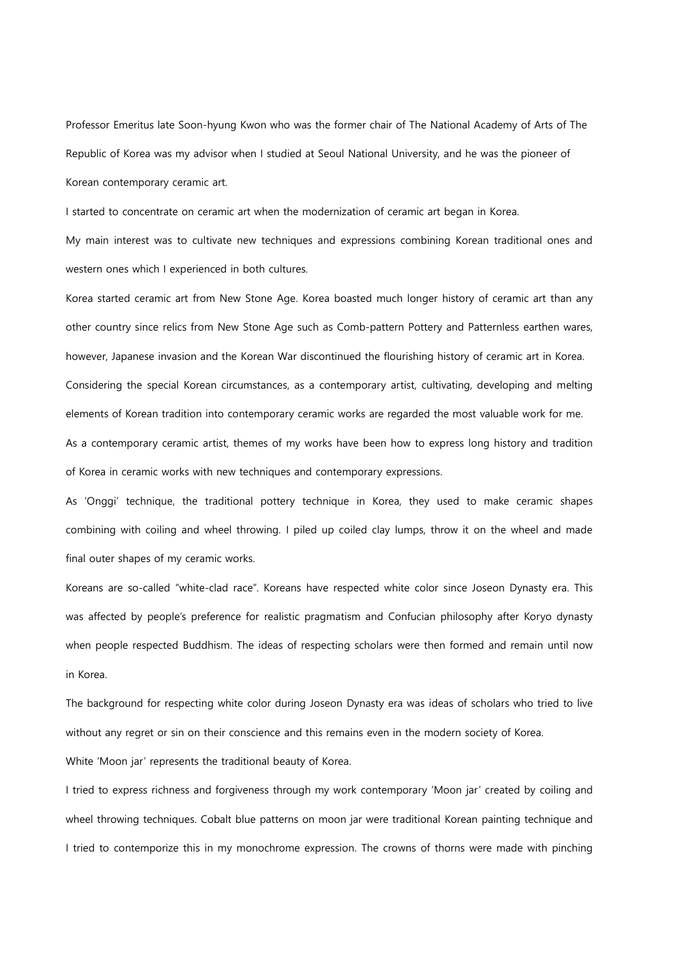Professor Emeritus late Soon-hyung Kwon who was the former chair of The National Academy of Arts of The Republic of Korea was my advisor when I studied at Seoul National University, and he was the pioneer of Korean contemporary ceramic art.

My main interest was to cultivate new techniques and expressions combining Korean traditional ones and western ones which I experienced in both cultures.

I started to concentrate on ceramic art when the modernization of ceramic art began in Korea.

Korea started ceramic art from New Stone Age. Korea boasted much longer history of ceramic art than any other country since relics from New Stone Age such as Comb-pattern Pottery and Patternless earthen wares, however, Japanese invasion and the Korean War discontinued the flourishing history of ceramic art in Korea. Considering the special Korean circumstances, as a contemporary artist, cultivating, developing and melting elements of Korean tradition into contemporary ceramic works are regarded the most valuable work for me. As a contemporary ceramic artist, themes of my works have been how to express long history and tradition of Korea in ceramic works with new techniques and contemporary expressions.

As "Onggi" technique, the traditional pottery technique in Korea, they used to make ceramic shapes combining with coiling and wheel throwing. I piled up coiled clay lumps, throw it on the wheel and made final outer shapes of my ceramic works.

Koreans are so-called "white-clad race". Koreans have respected white color since Joseon Dynasty era. This was affected by people"s preference for realistic pragmatism and Confucian philosophy after Koryo dynasty when people respected Buddhism. The ideas of respecting scholars were then formed and remain until now in Korea.

The background for respecting white color during Joseon Dynasty era was ideas of scholars who tried to live without any regret or sin on their conscience and this remains even in the modern society of Korea.

White "Moon jar" represents the traditional beauty of Korea.

I tried to express richness and forgiveness through my work contemporary "Moon jar" created by coiling and wheel throwing techniques. Cobalt blue patterns on moon jar were traditional Korean painting technique and I tried to contemporize this in my monochrome expression. The crowns of thorns were made with pinching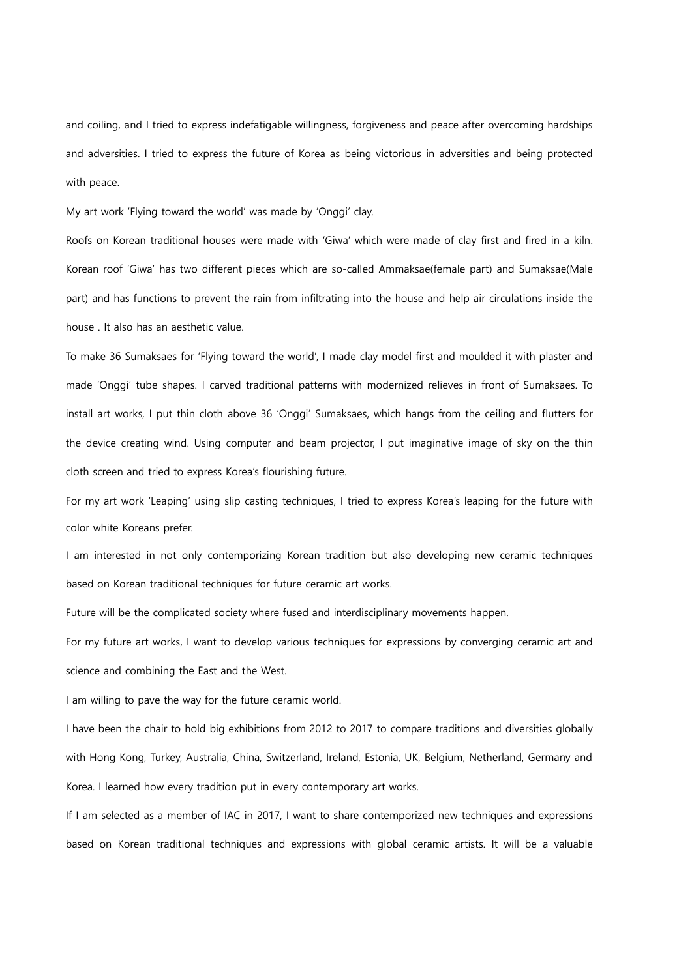and coiling, and I tried to express indefatigable willingness, forgiveness and peace after overcoming hardships and adversities. I tried to express the future of Korea as being victorious in adversities and being protected with peace.

My art work "Flying toward the world" was made by "Onggi" clay.

Roofs on Korean traditional houses were made with "Giwa" which were made of clay first and fired in a kiln. Korean roof "Giwa" has two different pieces which are so-called Ammaksae(female part) and Sumaksae(Male part) and has functions to prevent the rain from infiltrating into the house and help air circulations inside the house . It also has an aesthetic value.

To make 36 Sumaksaes for "Flying toward the world", I made clay model first and moulded it with plaster and made "Onggi" tube shapes. I carved traditional patterns with modernized relieves in front of Sumaksaes. To install art works, I put thin cloth above 36 "Onggi" Sumaksaes, which hangs from the ceiling and flutters for the device creating wind. Using computer and beam projector, I put imaginative image of sky on the thin cloth screen and tried to express Korea's flourishing future.

For my art work 'Leaping' using slip casting techniques, I tried to express Korea's leaping for the future with color white Koreans prefer.

I am interested in not only contemporizing Korean tradition but also developing new ceramic techniques based on Korean traditional techniques for future ceramic art works.

Future will be the complicated society where fused and interdisciplinary movements happen.

For my future art works, I want to develop various techniques for expressions by converging ceramic art and science and combining the East and the West.

I am willing to pave the way for the future ceramic world.

I have been the chair to hold big exhibitions from 2012 to 2017 to compare traditions and diversities globally with Hong Kong, Turkey, Australia, China, Switzerland, Ireland, Estonia, UK, Belgium, Netherland, Germany and Korea. I learned how every tradition put in every contemporary art works.

If I am selected as a member of IAC in 2017, I want to share contemporized new techniques and expressions based on Korean traditional techniques and expressions with global ceramic artists. It will be a valuable